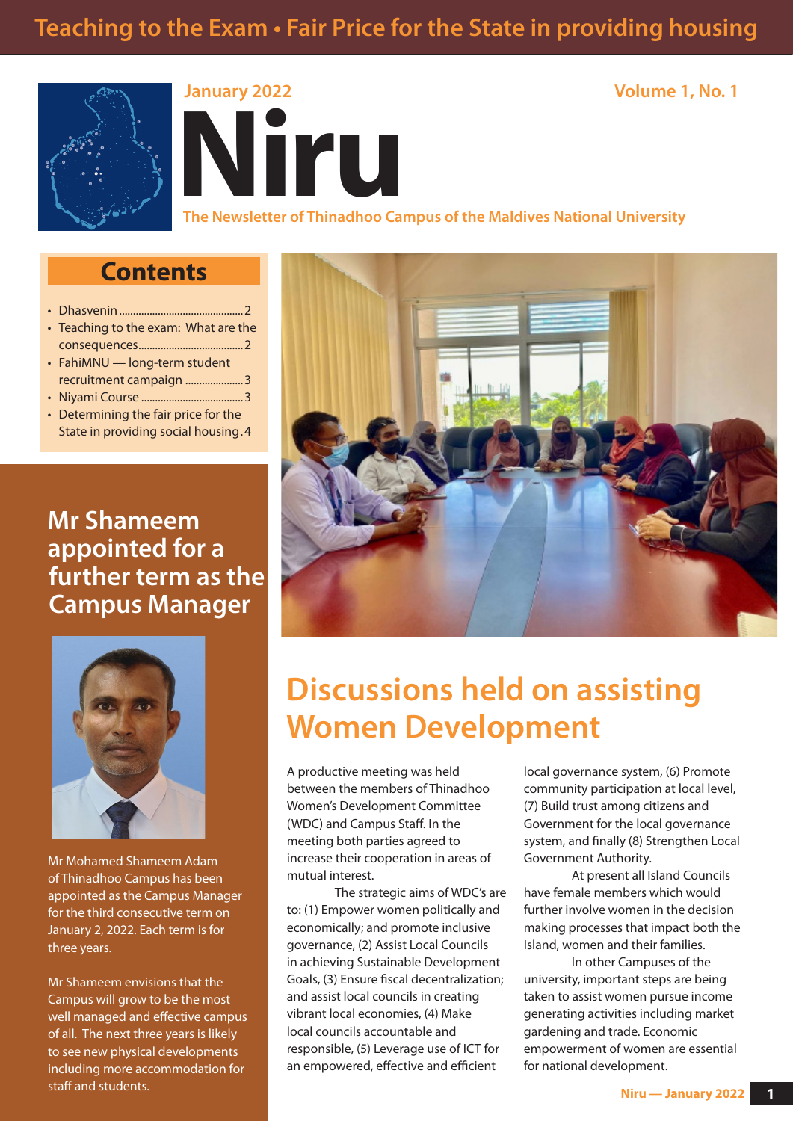### **Teaching to the Exam • Fair Price for the State in providing housing**





**The Newsletter of Thinadhoo Campus of the Maldives National University**

### **Contents**

- Dhasvenin.............................................2
- Teaching to the exam: What are the consequences......................................2
- FahiMNU long-term student recruitment campaign .....................3
- Niyami Course .....................................3
- Determining the fair price for the State in providing social housing.4

**Mr Shameem appointed for a further term as the Campus Manager**



Mr Mohamed Shameem Adam of Thinadhoo Campus has been appointed as the Campus Manager for the third consecutive term on January 2, 2022. Each term is for three years.

Mr Shameem envisions that the Campus will grow to be the most well managed and effective campus of all. The next three years is likely to see new physical developments including more accommodation for staff and students.



## **Discussions held on assisting Women Development**

A productive meeting was held between the members of Thinadhoo Women's Development Committee (WDC) and Campus Staff. In the meeting both parties agreed to increase their cooperation in areas of mutual interest.

The strategic aims of WDC's are to: (1) Empower women politically and economically; and promote inclusive governance, (2) Assist Local Councils in achieving Sustainable Development Goals, (3) Ensure fiscal decentralization; and assist local councils in creating vibrant local economies, (4) Make local councils accountable and responsible, (5) Leverage use of ICT for an empowered, effective and efficient

local governance system, (6) Promote community participation at local level, (7) Build trust among citizens and Government for the local governance system, and finally (8) Strengthen Local Government Authority.

At present all Island Councils have female members which would further involve women in the decision making processes that impact both the Island, women and their families.

In other Campuses of the university, important steps are being taken to assist women pursue income generating activities including market gardening and trade. Economic empowerment of women are essential for national development.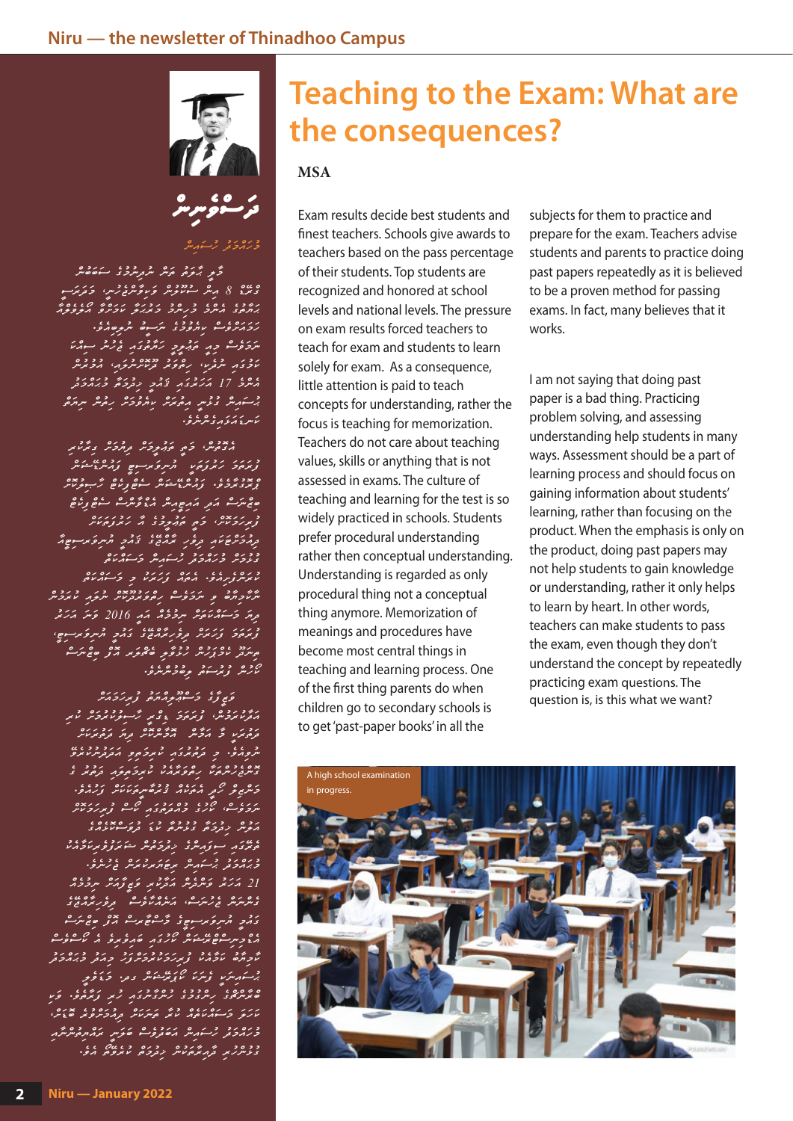

د ره در گرستمبر تر

څږ مرد د د د د د د د د د ى يى بى مەسىر مەسىرى بىرىدىس كىرىدىس<br>مەسىرى 8 مەش سىرىرىش كىرىكى كىرىدىس كىرىدىس ى دە دە دەپرە دەپە 20110 كىلەدە<br>بەجرى مەرى ئەرەبىرى ئەيرىكى ئايرىلىرى مەرك ހަމައަށްވެސް ކިޔެވުމުގެ ނަސީބު ނުލިބިއެވ.ެ ނަމަވެސް މިއީ ތަޢުލީމީ ހަޔާތުގައި ޖެހުނު ސިއްކަ ކަމުގައި ނުދެކ،ި ހިތްވަރު ދޫކޮށްނުލައ،ި އުމުރުން مس المسترد 17 مُرَكَّرٍ وَرَوْحَ وَرَوْحَةً وَرَوْحَةً د سورش دوسر مذکرہ دور دور مرکز کے مرکز کے مرکز کے مرکز کے مرکز کے مرکز کے مرکز کے مرکز کے مرکز کے مرکز کے مرکز <u>ﯩﻠﯩﺮ, ﺋﯧﺮ, ﺋﯧﺮ, ﺋﯧ</u>

גדר סי בית בית היותר בית לאת ديردك ركزوكا المسروكرسي والمسرعية ޕްރޮގުރާމެވ.ެ ފައުންޑޭޝަން ސެޓްފިކެޓް ހާޞިލުކޮށް ބިޒްނަސް އަދި އައިޓީއިން އެޑްވާންސް ސެޓްފިކެޓް دِ عِرْدَ حَمْدًا حَمِدٍ عَهْدٍ وَدَ لَهُ رَنْدُ وَحَمَد ދިއުމަށްޓަކައި ދިވެހި ރާއްޖޭގެ ޤައުމީ ޔުނިވަރސިޓީއާ ގުޅުމަށް މުހައްމަދު ހުސައިން މަސައްކަތް د ده د ده د دره در ده ده ده ده ده ده ده ده ނާކާމިޔާބު ވި ނަމަވެސް ހިތްވަރުދޫކޮށް ނުލައި ކުރަމުން مِرَّمَ وَسَوَّرْ مَنْ كَمَرْ 1016 وَسَ دَرَيْر ފުރަތަމަ ފަހަރަށް ދިވެހިރާއްޖޭގެ ގައުމީ ޔުނިވަރސިޓ،ީ ތިނަދޫ ކެމްޕަހުން ހުޅުވާލި ބެޗްލަރ އޮފް ބިޒްނަސް ކޯހުން ފުރުސަތު ލިބުމުންނެވ.ެ

 ވަޒީފާގެ މަސްޢޫލިއްޔަތު ފުރިހަމައަށް دود دوره و درد ۱۵۰۰ وو دورو دير<br>معرسودس، ويروو ۽ وير رسود سروري لابر יכג' בי גבים אים די הים גבינים.<br>בנים אינץ ב' הכייר הכייריות בה בנים אינץ ނުވިއެވ.ެ މި ދަތުރުގައި ކުރިމަތިވި އަދަދުނުކުރެވޭ ގޮންޖެހުންތަކާ ހިތްވަރާއެކު ކުރިމަތިލައި ދަތުރު ގެ މަންޒިލް ހޯދީ އެތަކެއް ޤުރުބާނީތަކަކަށް ފަހުއެވ.ެ کے دورہ دورہ دورہ و در دھوں<br>کوکوٹ، کاری وریونوی کام ویورونالر رده در در در در در دره دره<br>پروس نروژهی دنوسرهی سط فروسیس ތެރޭގައި ސިފައިންގެ ޚިދުމަތުން ޝަރަފުވެރިކަމާއެކު މުޙައްމަދު ޙުސައިން ރިޓަޔަރކުރަން ޖެހުނެވ.ެ 21 ﻣَﺮَﺗُﺪ ﺣِﻮَّﻳَّﻮ ﺣَﻮَّﻳِّ ﻣَﺮَّﻳِّ ﻣَﺮََّّ ﻣَﺮَّﺪْ ﻣَﺮَّﺪْ ﻣَﺮَّﺪْ ﻣَ غ ﻣﺮﻣﺮﻣﺮ ﻏﯘﻣﺮﯨﺮ ﻣﯩﺮﻣﺪﯨﯘ ﻣﯘﻣﺮﯨ<del>ﺪ</del> ﻣﻮ<u>ﯞﯨ</u>ﺮ ﻣﻪﻣﻪ رُمۡحِ ۥ مُسۡرِوَ مَرَّسُومِ وَٱسۡرَ مِنۡمُ مِنۡمُ وَٱسۡرَ مِنۡمُ مِنۡمُ مِنۡمَ ډﻩ ﺩﻩ ﻣﻪ ﻣﻪ ﺩﻩ ﻣﺮﺩ ﺩ ﻣﻪ ﺩﻩ ﻣﻪ ﺩﻩ ﻣﻪ ﺩﻩ ކާމިޔާބު ކަމާއެކު ފުރިހަމަކުރުމަށްފަހު މިއަދު މުޙައްމަދު ޙުސައިނަކީ ފެނަކަ ކޯޕަރޭޝަން ގދ. މަޑަވެލީ ބްރާންޗްގެ ހިންގުމުގެ ހުންގާނުގައި ހުރި ފަރާތެވ.ެ ވަކި در در دره ده دره دره در دره<br>درگو څخسه دره در مرکز دره دره دره مختر، د ده د د د سرم مرکز ده د ده د ده د د د د ގުޅުންހުރި ދާއިރާތަކުން ޚިދުމަތް ކުރެވޭތޯ އެވ.ެ

## **Teaching to the Exam: What are the consequences?**

#### **MSA**

Exam results decide best students and finest teachers. Schools give awards to teachers based on the pass percentage of their students. Top students are recognized and honored at school levels and national levels. The pressure on exam results forced teachers to teach for exam and students to learn solely for exam. As a consequence, little attention is paid to teach concepts for understanding, rather the focus is teaching for memorization. Teachers do not care about teaching values, skills or anything that is not assessed in exams. The culture of teaching and learning for the test is so widely practiced in schools. Students prefer procedural understanding rather then conceptual understanding. Understanding is regarded as only procedural thing not a conceptual thing anymore. Memorization of meanings and procedures have become most central things in teaching and learning process. One of the first thing parents do when children go to secondary schools is to get 'past-paper books' in all the

subjects for them to practice and prepare for the exam. Teachers advise students and parents to practice doing past papers repeatedly as it is believed to be a proven method for passing exams. In fact, many believes that it works.

I am not saying that doing past paper is a bad thing. Practicing problem solving, and assessing understanding help students in many ways. Assessment should be a part of learning process and should focus on gaining information about students' learning, rather than focusing on the product. When the emphasis is only on the product, doing past papers may not help students to gain knowledge or understanding, rather it only helps to learn by heart. In other words, teachers can make students to pass the exam, even though they don't understand the concept by repeatedly practicing exam questions. The question is, is this what we want?

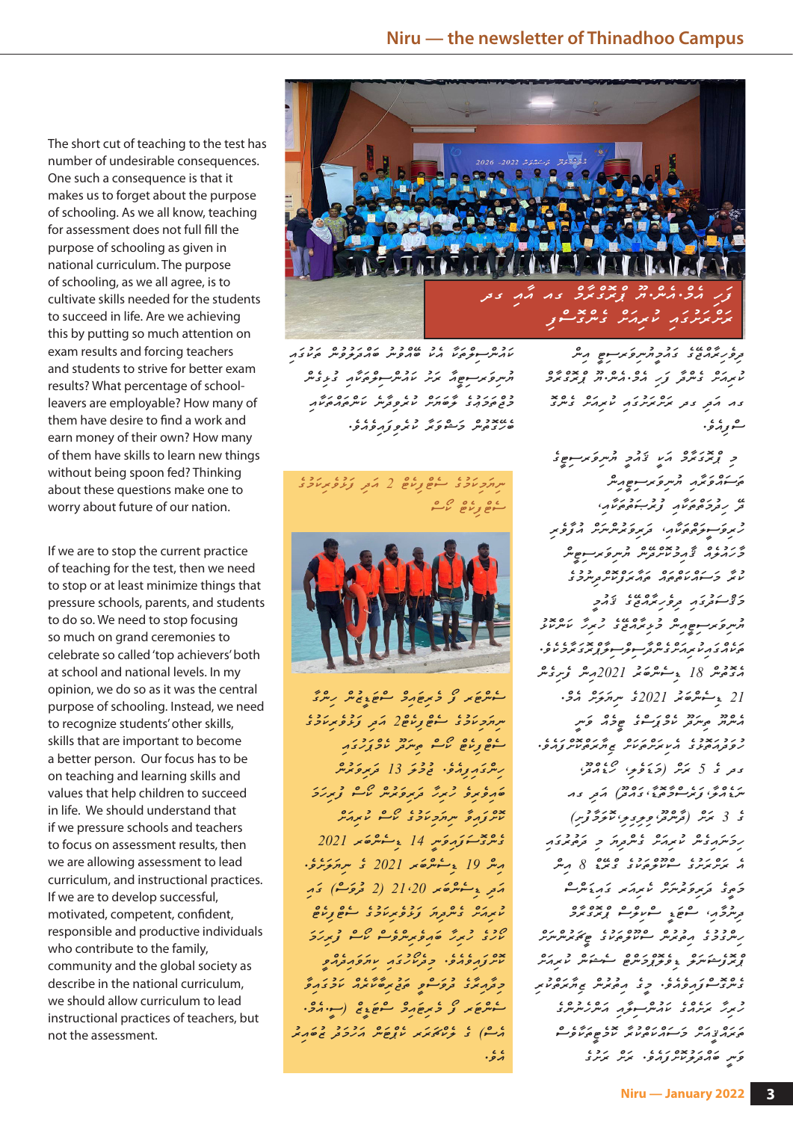The short cut of teaching to the test has number of undesirable consequences. One such a consequence is that it makes us to forget about the purpose of schooling. As we all know, teaching for assessment does not full fill the purpose of schooling as given in national curriculum. The purpose of schooling, as we all agree, is to cultivate skills needed for the students to succeed in life. Are we achieving this by putting so much attention on exam results and forcing teachers and students to strive for better exam results? What percentage of schoolleavers are employable? How many of them have desire to find a work and earn money of their own? How many of them have skills to learn new things without being spoon fed? Thinking about these questions make one to worry about future of our nation.

If we are to stop the current practice of teaching for the test, then we need to stop or at least minimize things that pressure schools, parents, and students to do so. We need to stop focusing so much on grand ceremonies to celebrate so called 'top achievers' both at school and national levels. In my opinion, we do so as it was the central purpose of schooling. Instead, we need to recognize students' other skills, skills that are important to become a better person. Our focus has to be on teaching and learning skills and values that help children to succeed in life. We should understand that if we pressure schools and teachers to focus on assessment results, then we are allowing assessment to lead curriculum, and instructional practices. If we are to develop successful, motivated, competent, confident, responsible and productive individuals who contribute to the family, community and the global society as describe in the national curriculum, we should allow curriculum to lead instructional practices of teachers, but not the assessment.



יכם כיזי גב גם יכים יכי<br>מהית <del>ינ</del>קים אמר שהפית שה<sub>בק</sub>יציות המצה د<br>اد سرکی پر سوچ پر بھی سرکار کاری میں اسلام کاری میں މުޖްތަމަޢުގެ ލާބަޔަށް ކުރެވިދާނެ ކަންތައްތަކާއި ބެހޭގޮތުން މަޝްވަރާ ކުރެވިފައިވެއެވ.ެ

ނިޔަމިކަމުގެ ސެޓްފިކެޓް 2 އަދި ފަޅުވެރިކަމުގެ ސެޓްފިކެޓް ކޯސް



ސެންޓަރ ފޯ މެރިޓައިމް ސްޓަޑީޒުން ހިންގާ ނިޔަމިކަމުގެ ސެޓްފިކެޓ2ް އަދި ފަޅުވެރިކަމުގެ ސެޓްފިކެޓް ކޯސް ތިނަދޫ ކެމްޕަހުގައި ހިންގައިފިއެވ.ެ ޖުމުލަ 13 ދަރިވަރުން ބައިވެރިވެ ހުރިހާ ދަރިވަރުން ކޯސް ފުރިހަމަ × د س مرد ع ص ح د در د مرد مرد المرد مرد المرد مرد المرد مرد المرد المرد المرد المرد المرد المرد ال ىش يەھىرى كىش كىش 1921 يىل كىش كىلىن 2021 مِسْ 19 ۦ ؎مشركة عام الرابعي من المستركزة في المستركزة في المستخدم في المستخدم في المستخدم في المستخدم في المس مَعِ ۦ ۡ ۡ ۡ ۡ ۡ صَدَّى 21،20 (2 فَرِیَٱ ۖ ۖ ) ۖ قَ م ކުރިއަށް ގެންދިޔަ ފަޅުވެރިކަމުގެ ސެޓްފިކެޓް ކޯހުގެ ހުރިހާ ބައިވެރިންވެސް ކޯސް ފުރިހަމަ ކޮށްފައިވެއެވ.ެ މިދެކޯހުގައި ކިޔަވައިދެއްވީ މިދާއިރާގެ ދުވަސްވީ ތަޖުރިބާކާރެއް ކަމުގައިވާ ސެންޓަރ ފޯ މެރިޓައިމް ސްޓަޑީޒް )ސ.ީއެމ.ް  $\frac{2}{3}$   $\frac{6}{3}$   $\frac{6}{3}$   $\frac{6}{3}$   $\frac{6}{3}$   $\frac{6}{3}$   $\frac{6}{3}$   $\frac{6}{3}$   $\frac{6}{3}$   $\frac{6}{3}$   $\frac{6}{3}$ ، ء<br>مرڪ

، ، دە دە دە دە دىگر<br>ترورىمەدى ئەمەدەرىمەن كىرىسى ކުރިއަށް ގެންދާ ފަހި އެމ.ްއެނ.ްޔޫ ޕްރޮގްރާމް ގއ އަދި ގދ ރަށްރަށުގައި ކުރިއަށް ގެންގޮ ے پ<sub>ی</sub> دی.

 މި ޕްރޮގަރާމް އަކީ ޤައުމީ ޔުނިވަރސިޓީގެ مُسَورِهِ مِنْ مُسَوَّرِ مِنْ مِنْ مِنْ مِنْ مِنْ  $\begin{array}{ccc} \mathbf{z} & \mathbf{z} & \mathbf{z} & \mathbf{z} & \mathbf{z} & \mathbf{z} \\ \mathbf{z} & \mathbf{z} & \mathbf{z} & \mathbf{z} & \mathbf{z} \\ \mathbf{z} & \mathbf{z} & \mathbf{z} & \mathbf{z} & \mathbf{z} \\ \mathbf{z} & \mathbf{z} & \mathbf{z} & \mathbf{z} & \mathbf{z} \\ \mathbf{z} & \mathbf{z} & \mathbf{z} & \mathbf{z$ د د ده ده ده د د د د د މާހައުލެއް ޤާއިމުކޮށްދޭން ޔުނިވަރސިޓީން ކުރާ މަސައްކަތްތައް ތައާރަފްކޮށްދިނުމުގެ دو، دە دە دە دە<br>كۆسىمى دە ئەرەبە دە ئ ך<br>תיית פיזיש בייש בין יותר שיית על גייט שיירוע ތަކެއްގައިކުރިއަށްގެންދާސިލްސިލާޕްރޮގަރާމެކެވ.ެ ، يودو 18 ۽ شمرڪٽر 18 سگر ڪري گر 21 غ شرىھ ئىر 2021 مىڭ دۇ. غ בי כ ברי ג' בי הי בי הי בי הי בי הי בי הי בי הי בי הי בי הי בי הי בי הי בי הי בי הי בי הי בי הי בי הי בי הי<br>הי מינו את בי הי בי הי בי הי בי הי בי הי בי הי בי הי בי הי בי הי בי הי בי הי בי הי בי הי בי הי בי הי בי הי בי د د د د برده محمد د د ده ده د د د کار د د د د د د د د د د د د د د د استان د استان د د استان د استان د استان د<br>مرکز ترجمن د کار د استان د استان د استان د استان د استان د استان د استان د استان د استان د استان د استان د است ح محمد عبد المحرية المحرور.<br>يحمد عبد المحرور المحرور المحرور المحرور المحرور المحرور المحرور المحرور المحرور المحرور المحرور المحرور المحر ނަޑެއްލ،ާފަރެސްމާތޮޑ،ާގައްދޫ( އަދި ގއ ، 3 کې خپر (څوګ<sup>رو</sup>ز) په دغوڅ تومر) ހިމަނައިގެން ކުރިއަށް ގެންދިޔަ މި ދަތުރުގައި غ ده دو د ه ده دو د ه ده و هر هر<br>له موسر عرس و سوموموسو تحریح هم شر މަތީގެ ދަރިވަރުނަށް ކެރިއަރ ގައިޑަންސް ح د د ح د د ح ده ده ده ده ده ده ده ده ده د ހިންގުމުގެ އިތުރުން ސްކޫލްތަކުގެ ޓީޗަރުންނަށް ޕްރޮފެޝަނަލް ޑިވެލޮޕްމަންޓް ސެޝަން ކުރިއަށް  $^{\circ}$ <  $^{\circ}$   $^{\circ}$   $^{\circ}$   $^{\circ}$   $^{\circ}$   $^{\circ}$   $^{\circ}$   $^{\circ}$   $^{\circ}$   $^{\circ}$   $^{\circ}$   $^{\circ}$   $^{\circ}$   $^{\circ}$   $^{\circ}$   $^{\circ}$   $^{\circ}$   $^{\circ}$   $^{\circ}$   $^{\circ}$   $^{\circ}$   $^{\circ}$   $^{\circ}$   $^{\circ}$   $^{\circ}$   $^{\circ}$   $^{\circ}$   $^{\circ}$   $^{\circ}$   $^{\circ}$   $^{\$ د د ۱۵۵۰ ز ۲۵۵۰ د ۲۵۵ د ۲۵<br>ریونر بومروری ماورس سوئواور اورس ތަރައްޤީއަށް މަސައްކަތްކުރާ ކޮމެޓީތަކާވެސް ح ده ده دره دره<br>کوشر ۱۳۵۵ مرد در در در برس برس